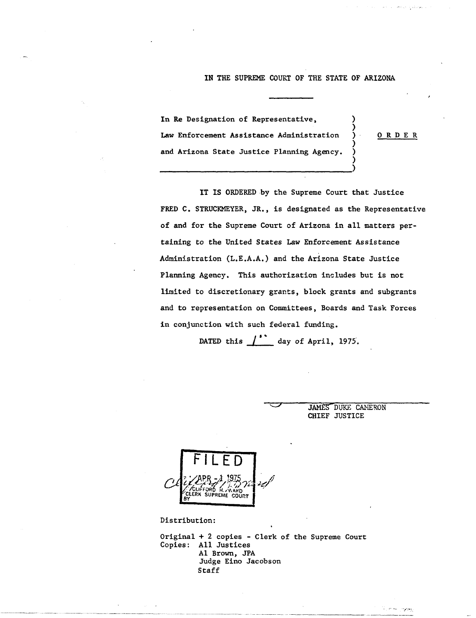## IN THE SUPREME COURT OF THE STATE OF ARIZONA

In Re Designation of Representative, Law Enforcement Assistance Administration ) 0 R D E R and Arizona State Justice Planning Agency.

---------------------------------)

)

)

)

IT IS ORDERED by the Supreme Court that Justice FRED C. STRUCKMEYER, JR., is designated as the Representative of and for the Supreme Court of Arizona in all matters pertaining to the United States Law Enforcement Assistance Administration (L.E.A.A.) and the Arizona State Justice Planning Agency. This authorization includes but is not limited to discretionary grants. block grants and subgrants and to representation on Committees, Boards and Task Forces in conjunction with such federal funding.

DATED this  $\int_{0}^{1}$  day of April, 1975.

JAMES DUKE CANERON CHIEF JUSTICE

,  $\mathcal{L}^{\text{max}}_{\text{max}}$  ,  $\mathcal{L}^{\text{max}}_{\text{max}}$  ,  $\mathcal{L}^{\text{max}}_{\text{max}}$  ,  $\mathcal{L}^{\text{max}}_{\text{max}}$  ,  $\mathcal{L}^{\text{max}}_{\text{max}}$  ,  $\mathcal{L}^{\text{max}}_{\text{max}}$  ,  $\mathcal{L}^{\text{max}}_{\text{max}}$  ,  $\mathcal{L}^{\text{max}}_{\text{max}}$  ,  $\mathcal{L}^{\text{max}}_{\text{max}}$  ,  $\mathcal{L}^{\text{max$ 



Distribution:

Original + 2 copies - Clerk of the Supreme Court Copies: All Justices Al Brown, JPA Judge Eino Jacobson Staff